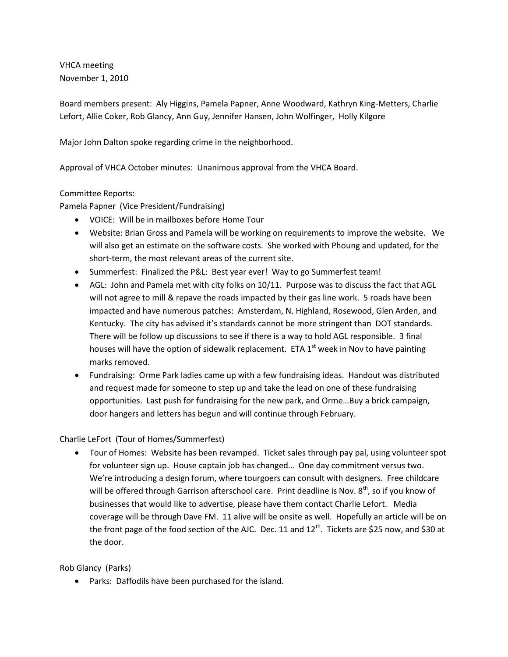VHCA meeting November 1, 2010

Board members present: Aly Higgins, Pamela Papner, Anne Woodward, Kathryn King-Metters, Charlie Lefort, Allie Coker, Rob Glancy, Ann Guy, Jennifer Hansen, John Wolfinger, Holly Kilgore

Major John Dalton spoke regarding crime in the neighborhood.

Approval of VHCA October minutes: Unanimous approval from the VHCA Board.

## Committee Reports:

Pamela Papner (Vice President/Fundraising)

- VOICE: Will be in mailboxes before Home Tour
- Website: Brian Gross and Pamela will be working on requirements to improve the website. We will also get an estimate on the software costs. She worked with Phoung and updated, for the short-term, the most relevant areas of the current site.
- Summerfest: Finalized the P&L: Best year ever! Way to go Summerfest team!
- AGL: John and Pamela met with city folks on 10/11. Purpose was to discuss the fact that AGL will not agree to mill & repave the roads impacted by their gas line work. 5 roads have been impacted and have numerous patches: Amsterdam, N. Highland, Rosewood, Glen Arden, and Kentucky. The city has advised it's standards cannot be more stringent than DOT standards. There will be follow up discussions to see if there is a way to hold AGL responsible. 3 final houses will have the option of sidewalk replacement. ETA  $1<sup>st</sup>$  week in Nov to have painting marks removed.
- Fundraising: Orme Park ladies came up with a few fundraising ideas. Handout was distributed and request made for someone to step up and take the lead on one of these fundraising opportunities. Last push for fundraising for the new park, and Orme…Buy a brick campaign, door hangers and letters has begun and will continue through February.

### Charlie LeFort (Tour of Homes/Summerfest)

 Tour of Homes: Website has been revamped. Ticket sales through pay pal, using volunteer spot for volunteer sign up. House captain job has changed… One day commitment versus two. We're introducing a design forum, where tourgoers can consult with designers. Free childcare will be offered through Garrison afterschool care. Print deadline is Nov. 8<sup>th</sup>, so if you know of businesses that would like to advertise, please have them contact Charlie Lefort. Media coverage will be through Dave FM. 11 alive will be onsite as well. Hopefully an article will be on the front page of the food section of the AJC. Dec. 11 and  $12^{th}$ . Tickets are \$25 now, and \$30 at the door.

### Rob Glancy (Parks)

Parks: Daffodils have been purchased for the island.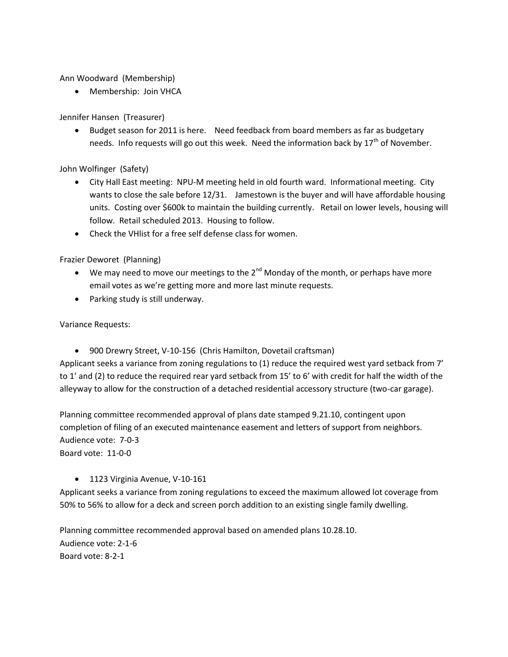Ann Woodward (Membership)

Membership: Join VHCA

# Jennifer Hansen (Treasurer)

• Budget season for 2011 is here. Need feedback from board members as far as budgetary needs. Info requests will go out this week. Need the information back by  $17<sup>th</sup>$  of November.

John Wolfinger (Safety)

- City Hall East meeting: NPU-M meeting held in old fourth ward. Informational meeting. City wants to close the sale before 12/31. Jamestown is the buyer and will have affordable housing units. Costing over \$600k to maintain the building currently. Retail on lower levels, housing will follow. Retail scheduled 2013. Housing to follow.
- Check the VHlist for a free self defense class for women.

Frazier Deworet (Planning)

- $\bullet$  We may need to move our meetings to the 2<sup>nd</sup> Monday of the month, or perhaps have more email votes as we're getting more and more last minute requests.
- Parking study is still underway.

Variance Requests:

900 Drewry Street, V-10-156 (Chris Hamilton, Dovetail craftsman)

Applicant seeks a variance from zoning regulations to (1) reduce the required west yard setback from 7' to 1' and (2) to reduce the required rear yard setback from 15' to 6' with credit for half the width of the alleyway to allow for the construction of a detached residential accessory structure (two-car garage).

Planning committee recommended approval of plans date stamped 9.21.10, contingent upon completion of filing of an executed maintenance easement and letters of support from neighbors. Audience vote: 7-0-3 Board vote: 11-0-0

### • 1123 Virginia Avenue, V-10-161

Applicant seeks a variance from zoning regulations to exceed the maximum allowed lot coverage from 50% to 56% to allow for a deck and screen porch addition to an existing single family dwelling.

Planning committee recommended approval based on amended plans 10.28.10. Audience vote: 2-1-6 Board vote: 8-2-1